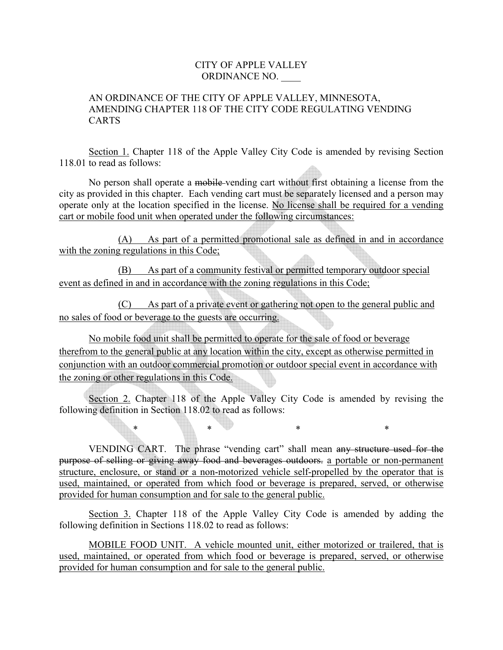## CITY OF APPLE VALLEY ORDINANCE NO. \_\_\_\_

## AN ORDINANCE OF THE CITY OF APPLE VALLEY, MINNESOTA, AMENDING CHAPTER 118 OF THE CITY CODE REGULATING VENDING CARTS

Section 1. Chapter 118 of the Apple Valley City Code is amended by revising Section 118.01 to read as follows:

No person shall operate a mobile vending cart without first obtaining a license from the city as provided in this chapter. Each vending cart must be separately licensed and a person may operate only at the location specified in the license. No license shall be required for a vending cart or mobile food unit when operated under the following circumstances:

(A) As part of a permitted promotional sale as defined in and in accordance with the zoning regulations in this Code;

 (B) As part of a community festival or permitted temporary outdoor special event as defined in and in accordance with the zoning regulations in this Code;

 (C) As part of a private event or gathering not open to the general public and no sales of food or beverage to the guests are occurring.

No mobile food unit shall be permitted to operate for the sale of food or beverage therefrom to the general public at any location within the city, except as otherwise permitted in conjunction with an outdoor commercial promotion or outdoor special event in accordance with the zoning or other regulations in this Code.

Section 2. Chapter 118 of the Apple Valley City Code is amended by revising the following definition in Section 118.02 to read as follows:

\* \* \* \* \* \* \* \* \*

VENDING CART. The phrase "vending cart" shall mean any structure used for the purpose of selling or giving away food and beverages outdoors. a portable or non-permanent structure, enclosure, or stand or a non-motorized vehicle self-propelled by the operator that is used, maintained, or operated from which food or beverage is prepared, served, or otherwise provided for human consumption and for sale to the general public.

Section 3. Chapter 118 of the Apple Valley City Code is amended by adding the following definition in Sections 118.02 to read as follows:

MOBILE FOOD UNIT. A vehicle mounted unit, either motorized or trailered, that is used, maintained, or operated from which food or beverage is prepared, served, or otherwise provided for human consumption and for sale to the general public.